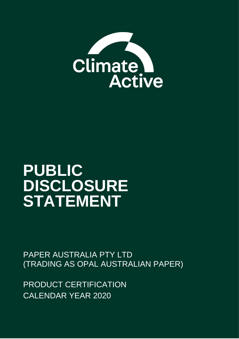

# **PUBLIC DISCLOSURE STATEMENT**

PAPER AUSTRALIA PTY LTD (TRADING AS OPAL AUSTRALIAN PAPER)

PRODUCT CERTIFICATION CALENDAR YEAR 2020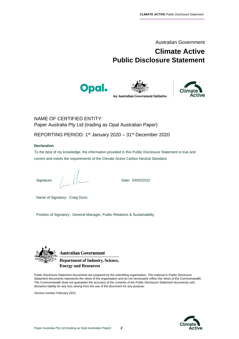Australian Government

# **Climate Active Public Disclosure Statement**





**An Australian Government Initiative** 



NAME OF CERTIFIED ENTITY: Paper Australia Pty Ltd (trading as Opal Australian Paper)

REPORTING PERIOD: 1<sup>st</sup> January 2020 - 31<sup>st</sup> December 2020

#### **Declaration**

To the best of my knowledge, the information provided in this Public Disclosure Statement is true and correct and meets the requirements of the Climate Active Carbon Neutral Standard.

Signature Date: 03/02/2022

Name of Signatory: Craig Dunn

Position of Signatory: General Manager, Public Relations & Sustainability



**Australian Government Department of Industry, Science, Energy and Resources** 

Public Disclosure Statement documents are prepared by the submitting organisation. The material in Public Disclosure Statement documents represents the views of the organisation and do not necessarily reflect the views of the Commonwealth. The Commonwealth does not guarantee the accuracy of the contents of the Public Disclosure Statement documents and disclaims liability for any loss arising from the use of the document for any purpose.

Version number February 2021

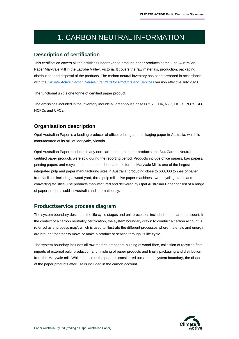# 1. CARBON NEUTRAL INFORMATION

#### **Description of certification**

This certification covers all the activities undertaken to produce paper products at the Opal Australian Paper Maryvale Mill in the Latrobe Valley, Victoria. It covers the raw materials, production, packaging, distribution, and disposal of the products. The carbon neutral inventory has been prepared in accordance with the *[Climate Active Carbon Neutral Standard for Products and Services](https://www.industry.gov.au/sites/default/files/2020-07/climate-active-carbon-neutral-standard-products-and-services.pdf)* version effective July 2020.

The functional unit is one tonne of certified paper product.

The emissions included in the inventory include all greenhouse gases CO2, CH4, N2O, HCFs, PFCs, SF6, HCFCs and CFCs.

#### **Organisation description**

Opal Australian Paper is a leading producer of office, printing and packaging paper in Australia, which is manufactured at its mill at Maryvale, Victoria.

Opal Australian Paper produces many non-carbon neutral paper products and 344 Carbon Neutral certified paper products were sold during the reporting period. Products include office papers, bag papers, printing papers and recycled paper in both sheet and roll forms. Maryvale Mill is one of the largest integrated pulp and paper manufacturing sites in Australia, producing close to 600,000 tonnes of paper from facilities including a wood yard, three pulp mills, five paper machines, two recycling plants and converting facilities. The products manufactured and delivered by Opal Australian Paper consist of a range of paper products sold in Australia and internationally.

#### **Product/service process diagram**

The system boundary describes the life cycle stages and unit processes included in the carbon account. In the context of a carbon neutrality certification, the system boundary drawn to conduct a carbon account is referred as a 'process map', which is used to illustrate the different processes where materials and energy are brought together to move or make a product or service through its life cycle.

The system boundary includes all raw material transport, pulping of wood fibre, collection of recycled fibre, imports of external pulp, production and finishing of paper products and finally packaging and distribution from the Maryvale mill. While the use of the paper is considered outside the system boundary, the disposal of the paper products after use is included in the carbon account.

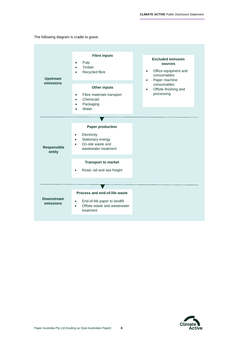The following diagram is cradle to grave.

| <b>Upstream</b><br>emissions   | <b>Fibre inputs</b><br>Pulp<br>$\bullet$<br>Timber<br>$\bullet$<br>Recycled fibre<br><b>Other inputs</b><br>Fibre materials transport<br>$\bullet$<br>Chemicals<br>$\bullet$<br>Packaging<br>Water          | <b>Excluded emission</b><br><b>sources</b><br>Office equipment and<br>$\bullet$<br>consumables<br>Paper machine<br>$\bullet$<br>consumables<br>Offsite finishing and<br>$\bullet$<br>processing |
|--------------------------------|-------------------------------------------------------------------------------------------------------------------------------------------------------------------------------------------------------------|-------------------------------------------------------------------------------------------------------------------------------------------------------------------------------------------------|
| <b>Responsible</b><br>entity   | <b>Paper production</b><br>Electricity<br>$\bullet$<br>Stationary energy<br>$\bullet$<br>On-site waste and<br>wastewater treatment<br><b>Transport to market</b><br>Road, rail and sea freight<br>$\bullet$ |                                                                                                                                                                                                 |
| <b>Downstream</b><br>emissions | Process and end-of-life waste<br>End-of-life paper to landfill<br>Offsite waste and wastewater<br>$\bullet$<br>treatment                                                                                    |                                                                                                                                                                                                 |

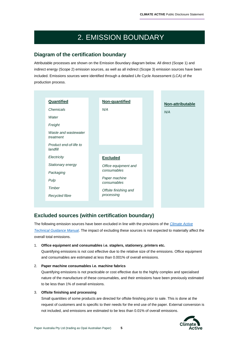# 2. EMISSION BOUNDARY

#### **Diagram of the certification boundary**

Attributable processes are shown on the Emission Boundary diagram below. All direct (Scope 1) and indirect energy (Scope 2) emission sources, as well as all indirect (Scope 3) emission sources have been included. Emissions sources were identified through a detailed Life Cycle Assessment (LCA) of the production process.

| Quantified                         | Non-quantified               | Non-attributable |
|------------------------------------|------------------------------|------------------|
| Chemicals                          | N/A                          | N/A              |
| Water                              |                              |                  |
| Freight                            |                              |                  |
| Waste and wastewater<br>treatment  |                              |                  |
| Product end-of-life to<br>landfill |                              |                  |
| Electricity                        | <b>Excluded</b>              |                  |
| Stationary energy                  | Office equipment and         |                  |
| Packaging                          | consumables                  |                  |
| Pulp                               | Paper machine<br>consumables |                  |
| Timber                             | Offsite finishing and        |                  |
| Recycled fibre                     | processing                   |                  |

## **Excluded sources (within certification boundary)**

The following emission sources have been excluded in line with the provisions of the *[Climate Active](https://www.industry.gov.au/sites/default/files/2020-09/climate-active-technical-guidance-manual.pdf)  [Technical Guidance Manual](https://www.industry.gov.au/sites/default/files/2020-09/climate-active-technical-guidance-manual.pdf)*. The impact of excluding these sources is not expected to materially affect the overall total emissions.

#### 1. **Office equipment and consumables i.e. staplers, stationery, printers etc.**

Quantifying emissions is not cost effective due to the relative size of the emissions. Office equipment and consumables are estimated at less than 0.001% of overall emissions.

#### 2. **Paper machine consumables i.e. machine fabrics**

Quantifying emissions is not practicable or cost effective due to the highly complex and specialised nature of the manufacture of these consumables, and their emissions have been previously estimated to be less than 1% of overall emissions.

#### 3. **Offsite finishing and processing**

Small quantities of some products are directed for offsite finishing prior to sale. This is done at the request of customers and is specific to their needs for the end use of the paper. External conversion is not included, and emissions are estimated to be less than 0.01% of overall emissions.

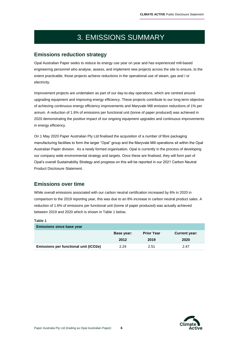# 3. EMISSIONS SUMMARY

### **Emissions reduction strategy**

Opal Australian Paper seeks to reduce its energy use year on year and has experienced mill-based engineering personnel who analyse, assess, and implement new projects across the site to ensure, to the extent practicable, those projects achieve reductions in the operational use of steam, gas and / or electricity.

Improvement projects are undertaken as part of our day-to-day operations, which are centred around upgrading equipment and improving energy efficiency. These projects contribute to our long-term objective of achieving continuous energy efficiency improvements and Maryvale Mill emission reductions of 1% per annum. A reduction of 1.6% of emissions per functional unit (tonne of paper produced) was achieved in 2020 demonstrating the positive impact of our ongoing equipment upgrades and continuous improvements in energy efficiency.

On 1 May 2020 Paper Australian Pty Ltd finalised the acquisition of a number of fibre packaging manufacturing facilities to form the larger "Opal" group and the Maryvale Mill operations sit within the Opal Australian Paper division. As a newly formed organisation, Opal is currently in the process of developing our company wide environmental strategy and targets. Once these are finalised, they will form part of Opal's overall Sustainability Strategy and progress on this will be reported in our 2021 Carbon Neutral Product Disclosure Statement.

## **Emissions over time**

While overall emissions associated with our carbon neutral certification increased by 6% in 2020 in comparison to the 2019 reporting year, this was due to an 8% increase in carbon neutral product sales. A reduction of 1.6% of emissions per functional unit (tonne of paper produced) was actually achieved between 2019 and 2020 which is shown in Table 1 below.

#### **Table 1**

| <b>Emissions since base year</b>      |            |                   |                      |
|---------------------------------------|------------|-------------------|----------------------|
|                                       | Base year: | <b>Prior Year</b> | <b>Current year:</b> |
|                                       | 2012       | 2019              | 2020                 |
| Emissions per functional unit (tCO2e) | 2.24       | 2.51              | 2.47                 |

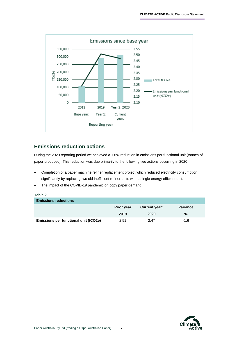

#### **Emissions reduction actions**

During the 2020 reporting period we achieved a 1.6% reduction in emissions per functional unit (tonnes of paper produced). This reduction was due primarily to the following two actions occurring in 2020:

- Completion of a paper machine refiner replacement project which reduced electricity consumption significantly by replacing two old inefficient refiner units with a single energy efficient unit.
- The impact of the COVID-19 pandemic on copy paper demand.

| Table 2                               |                   |                      |          |  |  |  |
|---------------------------------------|-------------------|----------------------|----------|--|--|--|
| <b>Emissions reductions</b>           |                   |                      |          |  |  |  |
|                                       | <b>Prior year</b> | <b>Current year:</b> | Variance |  |  |  |
|                                       | 2019              | 2020                 | %        |  |  |  |
| Emissions per functional unit (tCO2e) | 2.51              | 2.47                 | $-1.6$   |  |  |  |

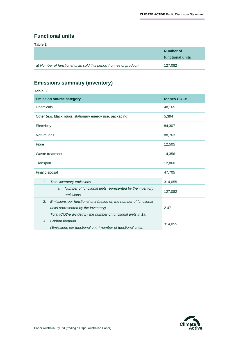## **Functional units**

**Table 2**

|                                                                    | Number of<br>functional units |
|--------------------------------------------------------------------|-------------------------------|
| a) Number of functional units sold this period (tonnes of product) | 127.082                       |

## **Emissions summary (inventory)**

| Table 3                                                                                                                                                                        |                 |  |
|--------------------------------------------------------------------------------------------------------------------------------------------------------------------------------|-----------------|--|
| <b>Emission source category</b>                                                                                                                                                | tonnes $CO2$ -e |  |
| Chemicals                                                                                                                                                                      | 48,165          |  |
| Other (e.g. black liquor, stationary energy use, packaging)                                                                                                                    | 5,394           |  |
| Electricity                                                                                                                                                                    | 84,307          |  |
| Natural gas                                                                                                                                                                    | 88,763          |  |
| Fibre                                                                                                                                                                          | 12,505          |  |
| Waste treatment                                                                                                                                                                | 14,356          |  |
| Transport                                                                                                                                                                      | 12,860          |  |
| Final disposal                                                                                                                                                                 | 47,705          |  |
| Total inventory emissions<br>1.                                                                                                                                                | 314,055         |  |
| Number of functional units represented by the inventory<br>a.<br>emissions                                                                                                     | 127,082         |  |
| 2.<br>Emissions per functional unit (based on the number of functional<br>units represented by the inventory)<br>Total tCO2-e divided by the number of functional units in 1a. | 2.47            |  |
| 3.<br>Carbon footprint<br>(Emissions per functional unit * number of functional units)                                                                                         | 314,055         |  |

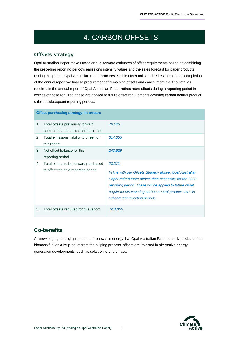# 4. CARBON OFFSETS

## **Offsets strategy**

Opal Australian Paper makes twice annual forward estimates of offset requirements based on combining the preceding reporting period's emissions intensity values and the sales forecast for paper products. During this period, Opal Australian Paper procures eligible offset units and retires them. Upon completion of the annual report we finalise procurement of remaining offsets and cancel/retire the final total as required in the annual report. If Opal Australian Paper retires more offsets during a reporting period in excess of those required, these are applied to future offset requirements covering carbon neutral product sales in subsequent reporting periods.

|    | <b>Offset purchasing strategy: In arrears</b>                                |                                                                                                                                                                                                                                                                                    |
|----|------------------------------------------------------------------------------|------------------------------------------------------------------------------------------------------------------------------------------------------------------------------------------------------------------------------------------------------------------------------------|
| 1. | Total offsets previously forward<br>purchased and banked for this report     | 70,126                                                                                                                                                                                                                                                                             |
| 2. | Total emissions liability to offset for<br>this report                       | 314,055                                                                                                                                                                                                                                                                            |
| 3. | Net offset balance for this<br>reporting period                              | 243,929                                                                                                                                                                                                                                                                            |
| 4. | Total offsets to be forward purchased<br>to offset the next reporting period | 23,071<br>In line with our Offsets Strategy above, Opal Australian<br>Paper retired more offsets than necessary for the 2020<br>reporting period. These will be applied to future offset<br>requirements covering carbon neutral product sales in<br>subsequent reporting periods. |
| 5. | Total offsets required for this report                                       | 314,055                                                                                                                                                                                                                                                                            |

## **Co-benefits**

Acknowledging the high proportion of renewable energy that Opal Australian Paper already produces from biomass fuel as a by-product from the pulping process, offsets are invested in alternative energy generation developments, such as solar, wind or biomass.

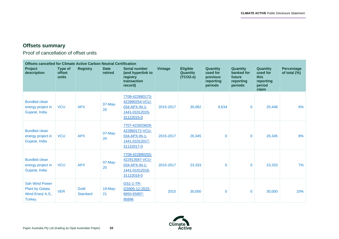$\overline{\phantom{a}}$ 

## **Offsets summary**

Proof of cancellation of offset units

| <b>Offsets cancelled for Climate Active Carbon Neutral Certification</b>        |                                          |                         |                        |                                                                                    |                |                                                  |                                                                 |                                                          |                                                              |                            |
|---------------------------------------------------------------------------------|------------------------------------------|-------------------------|------------------------|------------------------------------------------------------------------------------|----------------|--------------------------------------------------|-----------------------------------------------------------------|----------------------------------------------------------|--------------------------------------------------------------|----------------------------|
| Project<br>description                                                          | <b>Type of</b><br><b>offset</b><br>units | <b>Registry</b>         | <b>Date</b><br>retired | <b>Serial number</b><br>(and hyperlink to<br>registry<br>transaction<br>record)    | <b>Vintage</b> | <b>Eligible</b><br><b>Quantity</b><br>$(TCO2-e)$ | <b>Quantity</b><br>used for<br>previous<br>reporting<br>periods | Quantity<br>banked for<br>future<br>reporting<br>periods | Quantity<br>used for<br>this<br>reporting<br>period<br>claim | Percentage<br>of total (%) |
| <b>Bundled clean</b><br>energy project in<br>Gujarat, India                     | <b>VCU</b>                               | <b>APX</b>              | $07$ -May-<br>20       | 7708-422860173-<br>422890254-VCU-<br>034-APX-IN-1-<br>1441-01012015-<br>31122015-0 | 2015-2017      | 30,082                                           | 9,634                                                           | $\overline{0}$                                           | 20,448                                                       | 6%                         |
| <b>Bundled clean</b><br>energy project in<br>Gujarat, India                     | <b>VCU</b>                               | <b>APX</b>              | 07-May-<br>20          | 7707-422833828-<br>422860172-VCU-<br>034-APX-IN-1-<br>1441-01012017-<br>31122017-0 | 2015-2017      | 26,345                                           | $\Omega$                                                        | $\mathbf 0$                                              | 26,345                                                       | 8%                         |
| <b>Bundled clean</b><br>energy project in<br>Gujarat, India                     | <b>VCU</b>                               | <b>APX</b>              | $07$ -May-<br>20       | 7709-422890255-<br>422913587-VCU-<br>034-APX-IN-1-<br>1441-01012016-<br>31122016-0 | 2015-2017      | 23,333                                           | $\mathbf{0}$                                                    | $\mathbf 0$                                              | 23,333                                                       | 7%                         |
| <b>Sah Wind Power</b><br><b>Plant by Galata</b><br>Wind Enerji A.S.,<br>Turkey. | <b>VER</b>                               | Gold<br><b>Standard</b> | $19-May-$<br>21        | <b>GS1-1-TR-</b><br>GS905-12-2015-<br>6850-65897-<br>95896                         | 2015           | 30,000                                           | $\mathbf{0}$                                                    | 0                                                        | 30,000                                                       | 10%                        |

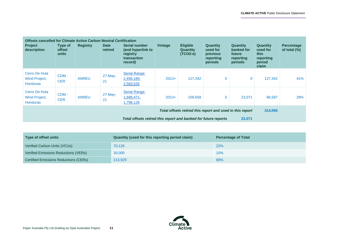÷

| <b>Offsets cancelled for Climate Active Carbon Neutral Certification</b><br><b>Project</b><br>description | Type of<br><b>offset</b><br>units | <b>Registry</b> | <b>Date</b><br>retired | Serial number<br>(and hyperlink to<br>registry<br>transaction<br>record) | <b>Vintage</b> | <b>Eligible</b><br><b>Quantity</b><br>$(TCO2-e)$ | <b>Quantity</b><br>used for<br>previous<br>reporting<br>periods | <b>Quantity</b><br>banked for<br>future<br>reporting<br>periods | <b>Quantity</b><br>used for<br>this<br>reporting<br>period<br>claim | <b>Percentage</b><br>of total $(\%)$ |
|-----------------------------------------------------------------------------------------------------------|-----------------------------------|-----------------|------------------------|--------------------------------------------------------------------------|----------------|--------------------------------------------------|-----------------------------------------------------------------|-----------------------------------------------------------------|---------------------------------------------------------------------|--------------------------------------|
| Cerro De Hula<br>Wind Project,<br><b>Honduras</b>                                                         | $CDM -$<br><b>CER</b>             | <b>ANREU</b>    | $27$ -May-<br>21       | <b>Serial Range:</b><br>2,456,185-<br>2,583,526                          | $2013+$        | 127,342                                          | $\Omega$                                                        | $\bf{0}$                                                        | 127,342                                                             | 41%                                  |
| Cerro De Hula<br><b>Wind Project,</b><br><b>Honduras</b>                                                  | $CDM -$<br><b>CER</b>             | <b>ANREU</b>    | $27$ -May-<br>21       | <b>Serial Range:</b><br>1,688,471-<br>1,798,128                          | $2013+$        | 109,658                                          | $\mathbf{0}$                                                    | 23,071                                                          | 86,587                                                              | 28%                                  |
|                                                                                                           |                                   |                 |                        |                                                                          |                |                                                  | Total offsets retired this report and used in this report       |                                                                 | 314,055                                                             |                                      |
|                                                                                                           |                                   |                 |                        | Total offsets retired this report and banked for future reports          |                |                                                  |                                                                 | 23,071                                                          |                                                                     |                                      |

| Type of offset units                         | Quantity (used for this reporting period claim) | <b>Percentage of Total</b> |
|----------------------------------------------|-------------------------------------------------|----------------------------|
| Verified Carbon Units (VCUs)                 | 70,126                                          | 22%                        |
| Verified Emissions Reductions (VERs)         | 30,000                                          | 10%                        |
| <b>Certified Emissions Reductions (CERs)</b> | 213,929                                         | 68%                        |

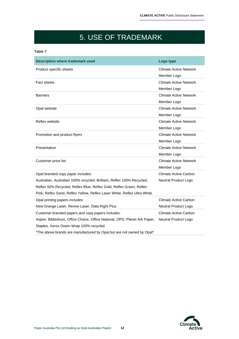# 5. USE OF TRADEMARK

#### **Table 7**

| <b>Description where trademark used</b>                                   | Logo type                     |
|---------------------------------------------------------------------------|-------------------------------|
| Product specific sheets                                                   | <b>Climate Active Network</b> |
|                                                                           | Member Logo                   |
| <b>Fact sheets</b>                                                        | Climate Active Network        |
|                                                                           | Member Logo                   |
| Banners                                                                   | <b>Climate Active Network</b> |
|                                                                           | Member Logo                   |
| Opal website                                                              | <b>Climate Active Network</b> |
|                                                                           | Member Logo                   |
| Reflex website                                                            | <b>Climate Active Network</b> |
|                                                                           | Member Logo                   |
| Promotion and product flyers                                              | <b>Climate Active Network</b> |
|                                                                           | Member Logo                   |
| Presentation                                                              | <b>Climate Active Network</b> |
|                                                                           | Member Logo                   |
| Customer price list                                                       | <b>Climate Active Network</b> |
|                                                                           | Member Logo                   |
| Opal branded copy paper includes:                                         | Climate Active Carbon         |
| Australian, Australian 100% recycled, Brilliant, Reflex 100% Recycled,    | Neutral Product Logo          |
| Reflex 50% Recycled, Reflex Blue, Reflex Gold, Reflex Green, Reflex       |                               |
| Pink, Reflex Sand, Reflex Yellow, Reflex Laser White, Reflex Ultra White  |                               |
| Opal printing papers includes:                                            | Climate Active Carbon         |
| New Grange Laser, Revive Laser, Data Right Plus                           | Neutral Product Logo          |
| Customer branded papers and copy papers includes:                         | Climate Active Carbon         |
| Aspire, Bibbulmun, Office Choice, Office National, OPD, Planet Ark Paper, | Neutral Product Logo          |
| Staples, Xerox Green Wrap 100% recycled                                   |                               |
| *The above brands are manufactured by Opal but are not owned by Opal*     |                               |